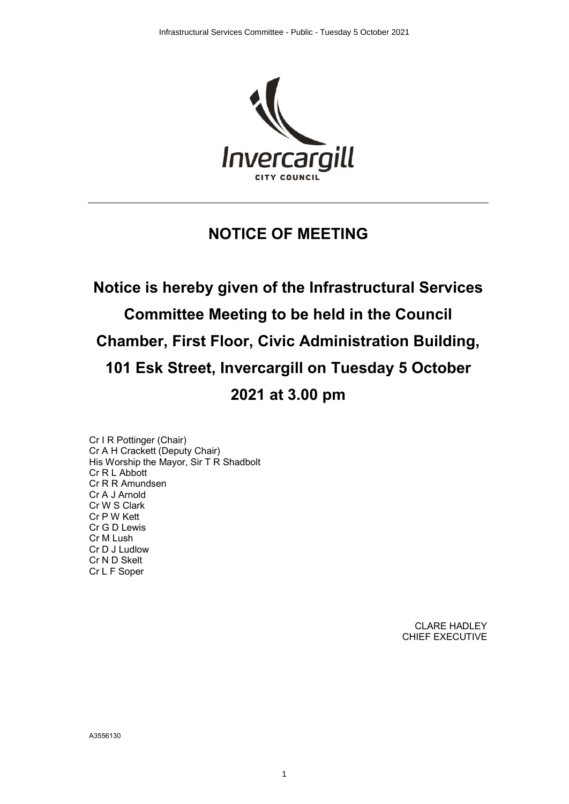

# **NOTICE OF MEETING**

# **Notice is hereby given of the Infrastructural Services Committee Meeting to be held in the Council Chamber, First Floor, Civic Administration Building, 101 Esk Street, Invercargill on Tuesday 5 October 2021 at 3.00 pm**

1

Cr I R Pottinger (Chair) Cr A H Crackett (Deputy Chair) His Worship the Mayor, Sir T R Shadbolt Cr R L Abbott Cr R R Amundsen Cr A J Arnold Cr W S Clark Cr P W Kett Cr G D Lewis Cr M Lush Cr D J Ludlow Cr N D Skelt Cr L F Soper

> CLARE HADLEY CHIEF EXECUTIVE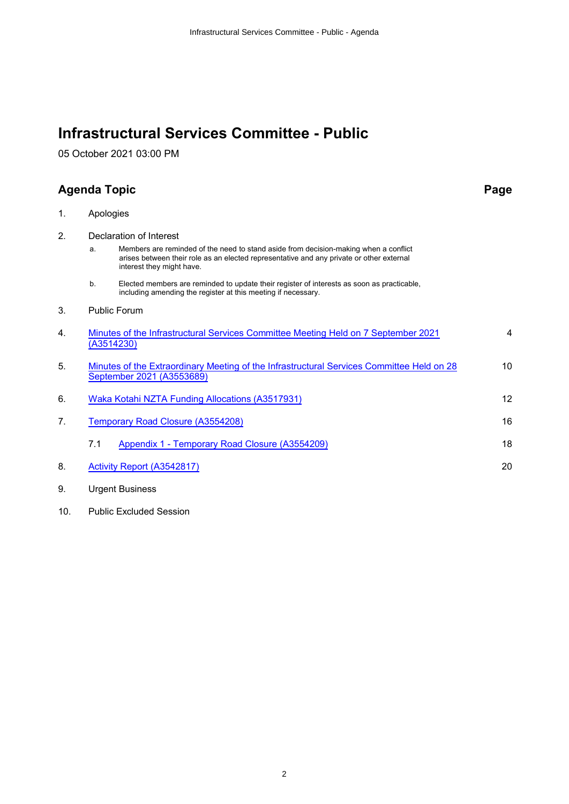## **Infrastructural Services Committee - Public**

05 October 2021 03:00 PM

### **Agenda Topic Page**

| Apologies |
|-----------|
|           |

2. Declaration of Interest

| a. | Members are reminded of the need to stand aside from decision-making when a conflict     |
|----|------------------------------------------------------------------------------------------|
|    | arises between their role as an elected representative and any private or other external |
|    | interest they might have.                                                                |

- b. Elected members are reminded to update their register of interests as soon as practicable, including amending the register at this meeting if necessary.
- 3. Public Forum

| 4. | Minutes of the Infrastructural Services Committee Meeting Held on 7 September 2021<br>(A3514230)                       | 4  |
|----|------------------------------------------------------------------------------------------------------------------------|----|
| 5. | Minutes of the Extraordinary Meeting of the Infrastructural Services Committee Held on 28<br>September 2021 (A3553689) | 10 |
| 6. | Waka Kotahi NZTA Funding Allocations (A3517931)                                                                        |    |
| 7. | Temporary Road Closure (A3554208)                                                                                      | 16 |
|    | Appendix 1 - Temporary Road Closure (A3554209)<br>7.1                                                                  | 18 |
| 8. | <b>Activity Report (A3542817)</b>                                                                                      | 20 |

- 9. Urgent Business
- 10. Public Excluded Session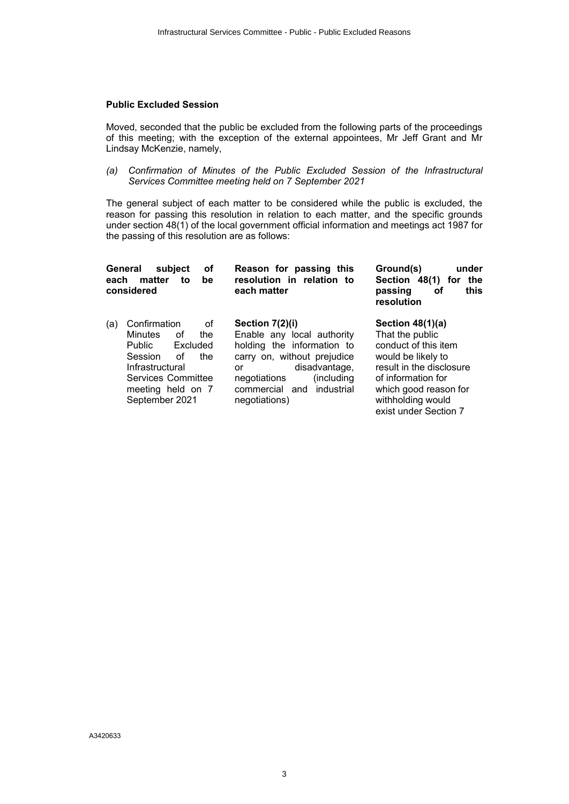### **Public Excluded Session**

Moved, seconded that the public be excluded from the following parts of the proceedings of this meeting; with the exception of the external appointees, Mr Jeff Grant and Mr Lindsay McKenzie, namely,

*(a) Confirmation of Minutes of the Public Excluded Session of the Infrastructural Services Committee meeting held on 7 September 2021*

The general subject of each matter to be considered while the public is excluded, the reason for passing this resolution in relation to each matter, and the specific grounds under section 48(1) of the local government official information and meetings act 1987 for the passing of this resolution are as follows:

| General<br>each | οf<br>subject<br>matter<br>to<br>be<br>considered                                                                                                                               | Reason for passing this<br>resolution in relation<br>to<br>each matter                                                                                                                                            | Ground(s)<br>under<br>Section 48(1) for<br>the<br>this<br>οf<br>passing<br>resolution                                                                                                                      |
|-----------------|---------------------------------------------------------------------------------------------------------------------------------------------------------------------------------|-------------------------------------------------------------------------------------------------------------------------------------------------------------------------------------------------------------------|------------------------------------------------------------------------------------------------------------------------------------------------------------------------------------------------------------|
| (a)             | Confirmation<br>οf<br>Minutes<br>Ωf<br>the<br><b>Public</b><br>Excluded<br>Session<br>Ωf<br>the<br>Infrastructural<br>Services Committee<br>meeting held on 7<br>September 2021 | Section 7(2)(i)<br>Enable any local authority<br>holding the information to<br>carry on, without prejudice<br>disadvantage,<br>or<br>negotiations<br>(including)<br>commercial and<br>industrial<br>negotiations) | Section 48(1)(a)<br>That the public<br>conduct of this item<br>would be likely to<br>result in the disclosure<br>of information for<br>which good reason for<br>withholding would<br>exist under Section 7 |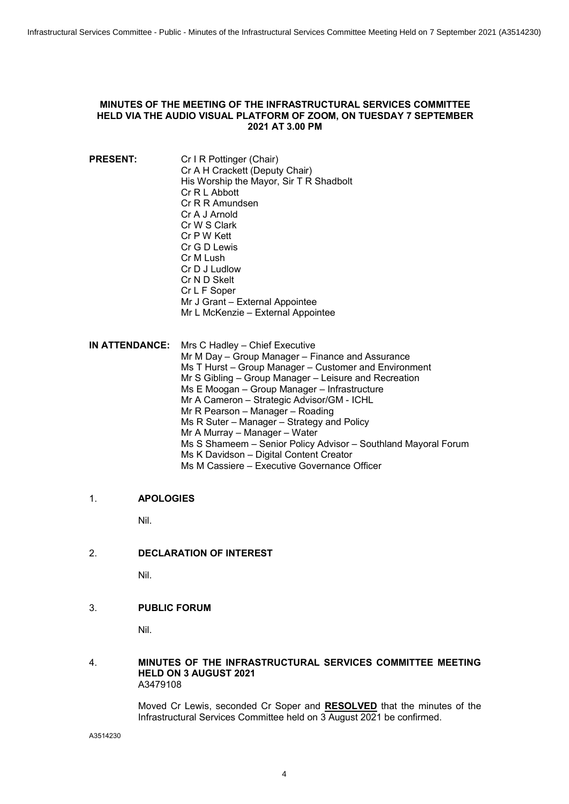### <span id="page-3-0"></span>**MINUTES OF THE MEETING OF THE INFRASTRUCTURAL SERVICES COMMITTEE HELD VIA THE AUDIO VISUAL PLATFORM OF ZOOM, ON TUESDAY 7 SEPTEMBER 2021 AT 3.00 PM**

- **PRESENT:** Cr I R Pottinger (Chair) Cr A H Crackett (Deputy Chair) His Worship the Mayor, Sir T R Shadbolt Cr R L Abbott Cr R R Amundsen Cr A J Arnold Cr W S Clark Cr P W Kett Cr G D Lewis Cr M Lush Cr D J Ludlow Cr N D Skelt Cr L F Soper Mr J Grant – External Appointee Mr L McKenzie – External Appointee
- **IN ATTENDANCE:** Mrs C Hadley Chief Executive Mr M Day – Group Manager – Finance and Assurance Ms T Hurst – Group Manager – Customer and Environment Mr S Gibling – Group Manager – Leisure and Recreation Ms E Moogan – Group Manager – Infrastructure Mr A Cameron – Strategic Advisor/GM - ICHL Mr R Pearson – Manager – Roading Ms R Suter – Manager – Strategy and Policy Mr A Murray – Manager – Water Ms S Shameem – Senior Policy Advisor – Southland Mayoral Forum Ms K Davidson – Digital Content Creator Ms M Cassiere – Executive Governance Officer

### 1. **APOLOGIES**

Nil.

2. **DECLARATION OF INTEREST** 

Nil.

3. **PUBLIC FORUM** 

Nil.

### 4. **MINUTES OF THE INFRASTRUCTURAL SERVICES COMMITTEE MEETING HELD ON 3 AUGUST 2021** A3479108

Moved Cr Lewis, seconded Cr Soper and **RESOLVED** that the minutes of the Infrastructural Services Committee held on 3 August 2021 be confirmed.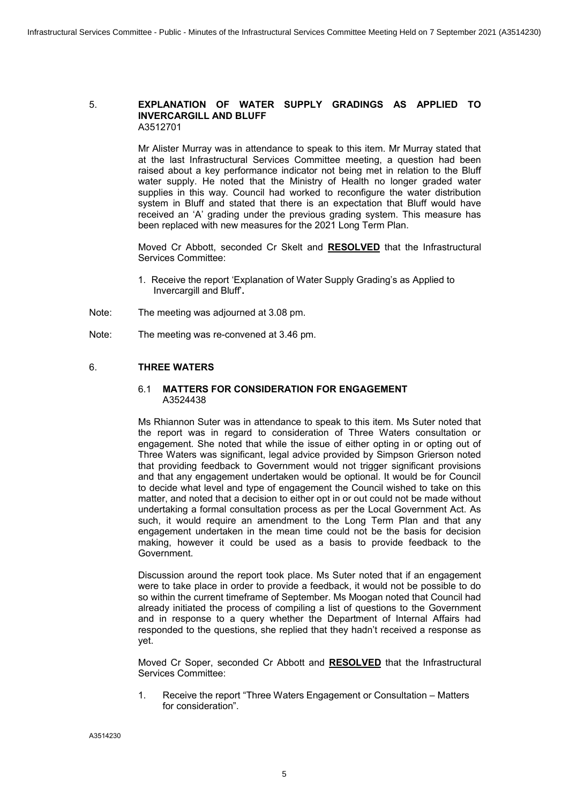#### 5. **EXPLANATION OF WATER SUPPLY GRADINGS AS APPLIED TO INVERCARGILL AND BLUFF**  A3512701

Mr Alister Murray was in attendance to speak to this item. Mr Murray stated that at the last Infrastructural Services Committee meeting, a question had been raised about a key performance indicator not being met in relation to the Bluff water supply. He noted that the Ministry of Health no longer graded water supplies in this way. Council had worked to reconfigure the water distribution system in Bluff and stated that there is an expectation that Bluff would have received an 'A' grading under the previous grading system. This measure has been replaced with new measures for the 2021 Long Term Plan.

Moved Cr Abbott, seconded Cr Skelt and **RESOLVED** that the Infrastructural Services Committee:

- 1. Receive the report 'Explanation of Water Supply Grading's as Applied to Invercargill and Bluff'**.**
- Note: The meeting was adjourned at 3.08 pm.
- Note: The meeting was re-convened at 3.46 pm.

### 6. **THREE WATERS**

### 6.1 **MATTERS FOR CONSIDERATION FOR ENGAGEMENT** A3524438

Ms Rhiannon Suter was in attendance to speak to this item. Ms Suter noted that the report was in regard to consideration of Three Waters consultation or engagement. She noted that while the issue of either opting in or opting out of Three Waters was significant, legal advice provided by Simpson Grierson noted that providing feedback to Government would not trigger significant provisions and that any engagement undertaken would be optional. It would be for Council to decide what level and type of engagement the Council wished to take on this matter, and noted that a decision to either opt in or out could not be made without undertaking a formal consultation process as per the Local Government Act. As such, it would require an amendment to the Long Term Plan and that any engagement undertaken in the mean time could not be the basis for decision making, however it could be used as a basis to provide feedback to the Government.

Discussion around the report took place. Ms Suter noted that if an engagement were to take place in order to provide a feedback, it would not be possible to do so within the current timeframe of September. Ms Moogan noted that Council had already initiated the process of compiling a list of questions to the Government and in response to a query whether the Department of Internal Affairs had responded to the questions, she replied that they hadn't received a response as yet.

Moved Cr Soper, seconded Cr Abbott and **RESOLVED** that the Infrastructural Services Committee:

1. Receive the report "Three Waters Engagement or Consultation – Matters for consideration".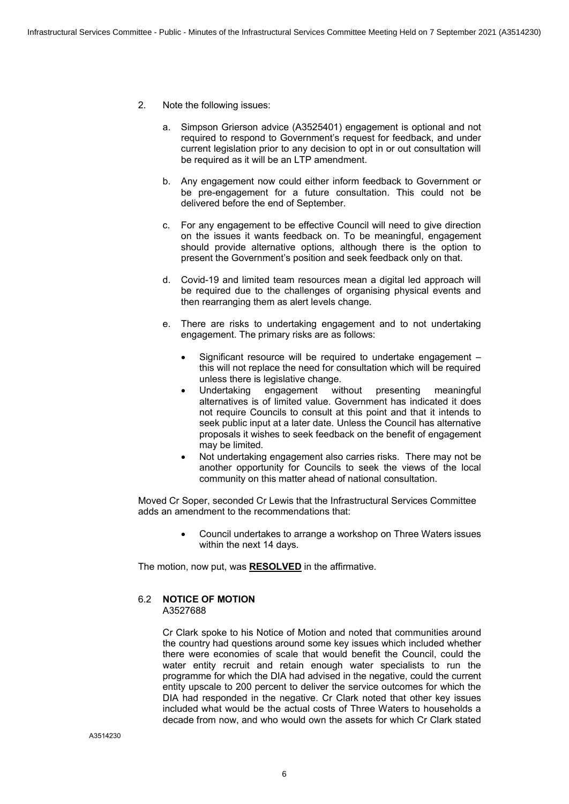- 2. Note the following issues:
	- a. Simpson Grierson advice (A3525401) engagement is optional and not required to respond to Government's request for feedback, and under current legislation prior to any decision to opt in or out consultation will be required as it will be an LTP amendment.
	- b. Any engagement now could either inform feedback to Government or be pre-engagement for a future consultation. This could not be delivered before the end of September.
	- c. For any engagement to be effective Council will need to give direction on the issues it wants feedback on. To be meaningful, engagement should provide alternative options, although there is the option to present the Government's position and seek feedback only on that.
	- d. Covid-19 and limited team resources mean a digital led approach will be required due to the challenges of organising physical events and then rearranging them as alert levels change.
	- e. There are risks to undertaking engagement and to not undertaking engagement. The primary risks are as follows:
		- Significant resource will be required to undertake engagement this will not replace the need for consultation which will be required unless there is legislative change.
		- ∑ Undertaking engagement without presenting meaningful alternatives is of limited value. Government has indicated it does not require Councils to consult at this point and that it intends to seek public input at a later date. Unless the Council has alternative proposals it wishes to seek feedback on the benefit of engagement may be limited.
		- Not undertaking engagement also carries risks. There may not be another opportunity for Councils to seek the views of the local community on this matter ahead of national consultation.

Moved Cr Soper, seconded Cr Lewis that the Infrastructural Services Committee adds an amendment to the recommendations that:

> ∑ Council undertakes to arrange a workshop on Three Waters issues within the next 14 days.

The motion, now put, was **RESOLVED** in the affirmative.

### 6.2 **NOTICE OF MOTION**

A3527688

Cr Clark spoke to his Notice of Motion and noted that communities around the country had questions around some key issues which included whether there were economies of scale that would benefit the Council, could the water entity recruit and retain enough water specialists to run the programme for which the DIA had advised in the negative, could the current entity upscale to 200 percent to deliver the service outcomes for which the DIA had responded in the negative. Cr Clark noted that other key issues included what would be the actual costs of Three Waters to households a decade from now, and who would own the assets for which Cr Clark stated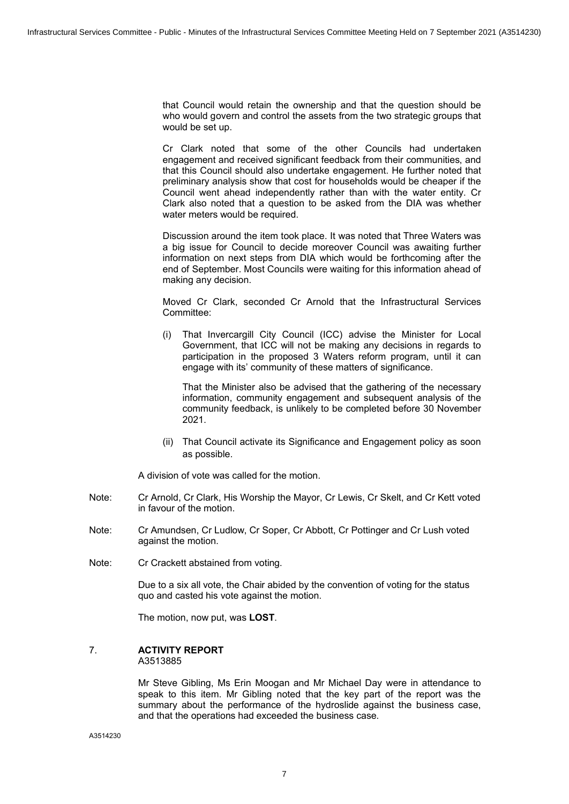that Council would retain the ownership and that the question should be who would govern and control the assets from the two strategic groups that would be set up.

Cr Clark noted that some of the other Councils had undertaken engagement and received significant feedback from their communities, and that this Council should also undertake engagement. He further noted that preliminary analysis show that cost for households would be cheaper if the Council went ahead independently rather than with the water entity. Cr Clark also noted that a question to be asked from the DIA was whether water meters would be required.

Discussion around the item took place. It was noted that Three Waters was a big issue for Council to decide moreover Council was awaiting further information on next steps from DIA which would be forthcoming after the end of September. Most Councils were waiting for this information ahead of making any decision.

Moved Cr Clark, seconded Cr Arnold that the Infrastructural Services Committee:

(i) That Invercargill City Council (ICC) advise the Minister for Local Government, that ICC will not be making any decisions in regards to participation in the proposed 3 Waters reform program, until it can engage with its' community of these matters of significance.

That the Minister also be advised that the gathering of the necessary information, community engagement and subsequent analysis of the community feedback, is unlikely to be completed before 30 November 2021.

(ii) That Council activate its Significance and Engagement policy as soon as possible.

A division of vote was called for the motion.

- Note: Cr Arnold, Cr Clark, His Worship the Mayor, Cr Lewis, Cr Skelt, and Cr Kett voted in favour of the motion.
- Note: Cr Amundsen, Cr Ludlow, Cr Soper, Cr Abbott, Cr Pottinger and Cr Lush voted against the motion.
- Note: Cr Crackett abstained from voting.

Due to a six all vote, the Chair abided by the convention of voting for the status quo and casted his vote against the motion.

The motion, now put, was **LOST**.

#### 7. **ACTIVITY REPORT**  A3513885

Mr Steve Gibling, Ms Erin Moogan and Mr Michael Day were in attendance to speak to this item. Mr Gibling noted that the key part of the report was the summary about the performance of the hydroslide against the business case, and that the operations had exceeded the business case.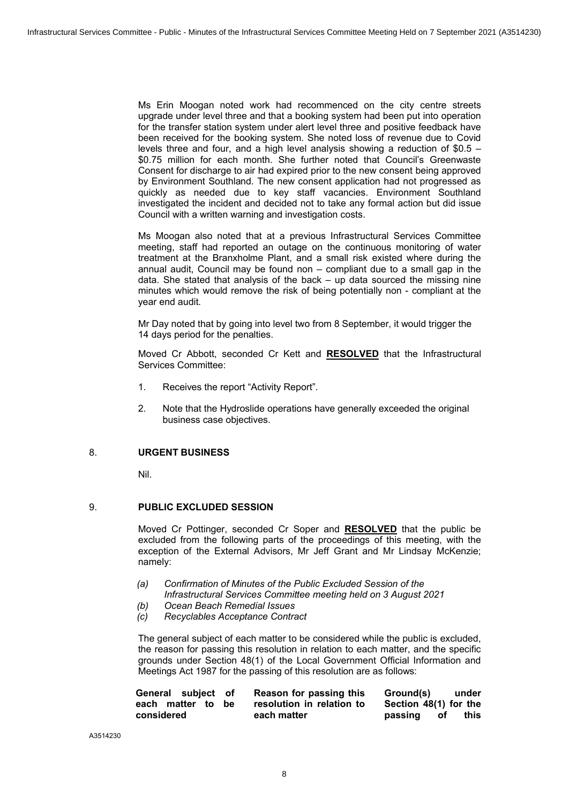Ms Erin Moogan noted work had recommenced on the city centre streets upgrade under level three and that a booking system had been put into operation for the transfer station system under alert level three and positive feedback have been received for the booking system. She noted loss of revenue due to Covid levels three and four, and a high level analysis showing a reduction of \$0.5 – \$0.75 million for each month. She further noted that Council's Greenwaste Consent for discharge to air had expired prior to the new consent being approved by Environment Southland. The new consent application had not progressed as quickly as needed due to key staff vacancies. Environment Southland investigated the incident and decided not to take any formal action but did issue Council with a written warning and investigation costs.

Ms Moogan also noted that at a previous Infrastructural Services Committee meeting, staff had reported an outage on the continuous monitoring of water treatment at the Branxholme Plant, and a small risk existed where during the annual audit, Council may be found non – compliant due to a small gap in the data. She stated that analysis of the back – up data sourced the missing nine minutes which would remove the risk of being potentially non - compliant at the year end audit.

Mr Day noted that by going into level two from 8 September, it would trigger the 14 days period for the penalties.

Moved Cr Abbott, seconded Cr Kett and **RESOLVED** that the Infrastructural Services Committee:

- 1. Receives the report "Activity Report".
- 2. Note that the Hydroslide operations have generally exceeded the original business case objectives.

### 8. **URGENT BUSINESS**

Nil.

### 9. **PUBLIC EXCLUDED SESSION**

Moved Cr Pottinger, seconded Cr Soper and **RESOLVED** that the public be excluded from the following parts of the proceedings of this meeting, with the exception of the External Advisors, Mr Jeff Grant and Mr Lindsay McKenzie; namely:

- *(a) Confirmation of Minutes of the Public Excluded Session of the Infrastructural Services Committee meeting held on 3 August 2021*
- *(b) Ocean Beach Remedial Issues*
- *(c) Recyclables Acceptance Contract*

The general subject of each matter to be considered while the public is excluded, the reason for passing this resolution in relation to each matter, and the specific grounds under Section 48(1) of the Local Government Official Information and Meetings Act 1987 for the passing of this resolution are as follows:

| General subject of |  | Reason for passing this   | Ground(s)             | under |
|--------------------|--|---------------------------|-----------------------|-------|
| each matter to be  |  | resolution in relation to | Section 48(1) for the |       |
| considered         |  | each matter               | passing of            | this  |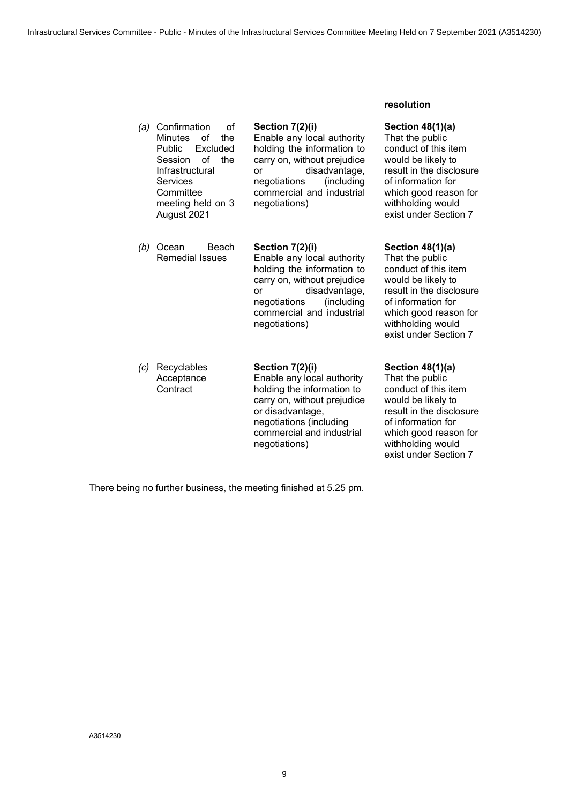**resolution**

| (a) | Confirmation<br>οf<br><b>Minutes</b><br>the<br>οf<br>Public<br>Excluded<br>οf<br>the<br>Session<br>Infrastructural<br><b>Services</b><br>Committee<br>meeting held on 3<br>August 2021 | Section 7(2)(i)<br>Enable any local authority<br>holding the information to<br>carry on, without prejudice<br>disadvantage,<br><b>or</b><br>(including<br>negotiations<br>commercial and industrial<br>negotiations)  | Section $48(1)(a)$<br>That the public<br>conduct of this item<br>would be likely to<br>result in the disclosure<br>of information for<br>which good reason for<br>withholding would<br>exist under Section 7 |
|-----|----------------------------------------------------------------------------------------------------------------------------------------------------------------------------------------|-----------------------------------------------------------------------------------------------------------------------------------------------------------------------------------------------------------------------|--------------------------------------------------------------------------------------------------------------------------------------------------------------------------------------------------------------|
| (b) | Ocean<br>Beach<br><b>Remedial Issues</b>                                                                                                                                               | Section 7(2)(i)<br>Enable any local authority<br>holding the information to<br>carry on, without prejudice<br>disadvantage,<br><b>or</b><br>(including)<br>negotiations<br>commercial and industrial<br>negotiations) | Section $48(1)(a)$<br>That the public<br>conduct of this item<br>would be likely to<br>result in the disclosure<br>of information for<br>which good reason for<br>withholding would<br>exist under Section 7 |
| (c) | Recyclables<br>Acceptance<br>Contract                                                                                                                                                  | Section 7(2)(i)<br>Enable any local authority<br>holding the information to<br>carry on, without prejudice<br>or disadvantage,<br>negotiations (including<br>commercial and industrial<br>negotiations)               | Section $48(1)(a)$<br>That the public<br>conduct of this item<br>would be likely to<br>result in the disclosure<br>of information for<br>which good reason for<br>withholding would<br>exist under Section 7 |

There being no further business, the meeting finished at 5.25 pm.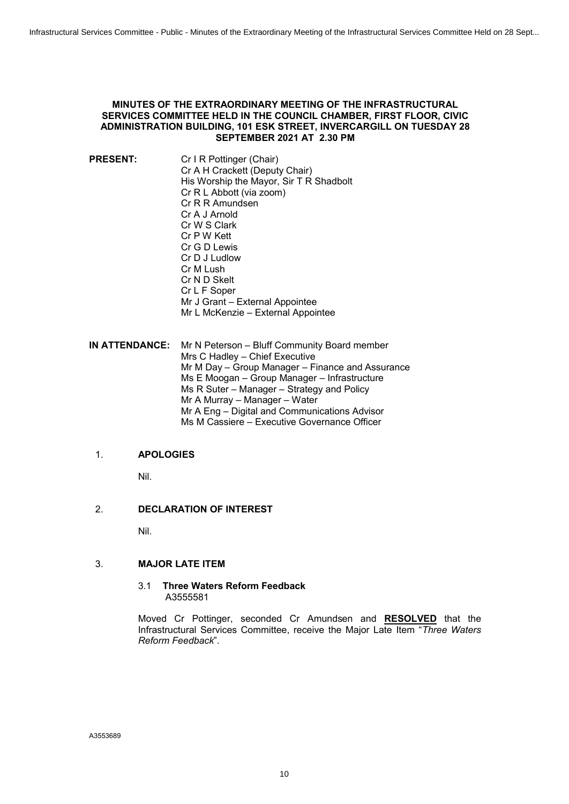### <span id="page-9-0"></span>**MINUTES OF THE EXTRAORDINARY MEETING OF THE INFRASTRUCTURAL SERVICES COMMITTEE HELD IN THE COUNCIL CHAMBER, FIRST FLOOR, CIVIC ADMINISTRATION BUILDING, 101 ESK STREET, INVERCARGILL ON TUESDAY 28 SEPTEMBER 2021 AT 2.30 PM**

**PRESENT:** Cr I R Pottinger (Chair) Cr A H Crackett (Deputy Chair) His Worship the Mayor, Sir T R Shadbolt Cr R L Abbott (via zoom) Cr R R Amundsen Cr A J Arnold Cr W S Clark Cr P W Kett Cr G D Lewis Cr D J Ludlow Cr M Lush Cr N D Skelt Cr L F Soper Mr J Grant – External Appointee Mr L McKenzie – External Appointee

**IN ATTENDANCE:** Mr N Peterson – Bluff Community Board member Mrs C Hadley – Chief Executive Mr M Day – Group Manager – Finance and Assurance Ms E Moogan – Group Manager – Infrastructure Ms R Suter – Manager – Strategy and Policy Mr A Murray – Manager – Water Mr A Eng – Digital and Communications Advisor Ms M Cassiere – Executive Governance Officer

### 1. **APOLOGIES**

Nil.

### 2. **DECLARATION OF INTEREST**

Nil.

### 3. **MAJOR LATE ITEM**

### 3.1 **Three Waters Reform Feedback** A3555581

Moved Cr Pottinger, seconded Cr Amundsen and **RESOLVED** that the Infrastructural Services Committee, receive the Major Late Item "*Three Waters Reform Feedback*".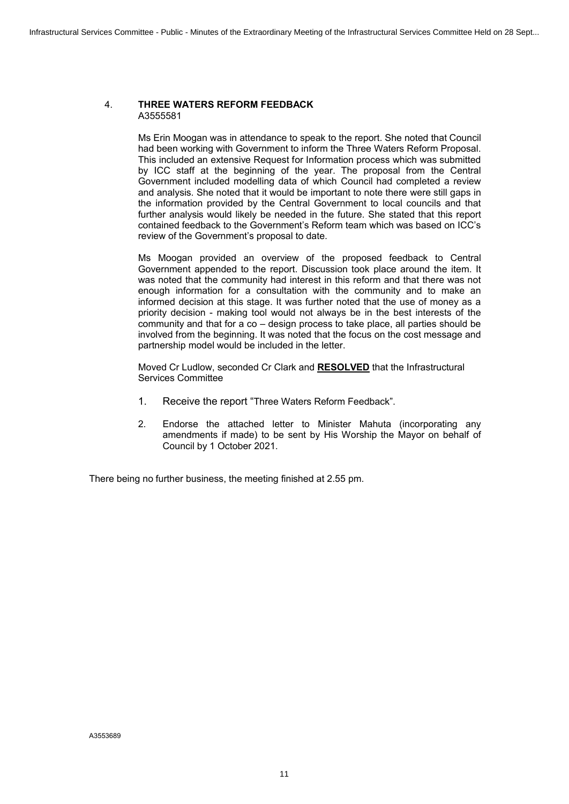### 4. **THREE WATERS REFORM FEEDBACK** A3555581

Ms Erin Moogan was in attendance to speak to the report. She noted that Council had been working with Government to inform the Three Waters Reform Proposal. This included an extensive Request for Information process which was submitted by ICC staff at the beginning of the year. The proposal from the Central Government included modelling data of which Council had completed a review and analysis. She noted that it would be important to note there were still gaps in the information provided by the Central Government to local councils and that further analysis would likely be needed in the future. She stated that this report contained feedback to the Government's Reform team which was based on ICC's review of the Government's proposal to date.

Ms Moogan provided an overview of the proposed feedback to Central Government appended to the report. Discussion took place around the item. It was noted that the community had interest in this reform and that there was not enough information for a consultation with the community and to make an informed decision at this stage. It was further noted that the use of money as a priority decision - making tool would not always be in the best interests of the community and that for a co – design process to take place, all parties should be involved from the beginning. It was noted that the focus on the cost message and partnership model would be included in the letter.

Moved Cr Ludlow, seconded Cr Clark and **RESOLVED** that the Infrastructural Services Committee

- 1. Receive the report "Three Waters Reform Feedback".
- 2. Endorse the attached letter to Minister Mahuta (incorporating any amendments if made) to be sent by His Worship the Mayor on behalf of Council by 1 October 2021.

There being no further business, the meeting finished at 2.55 pm.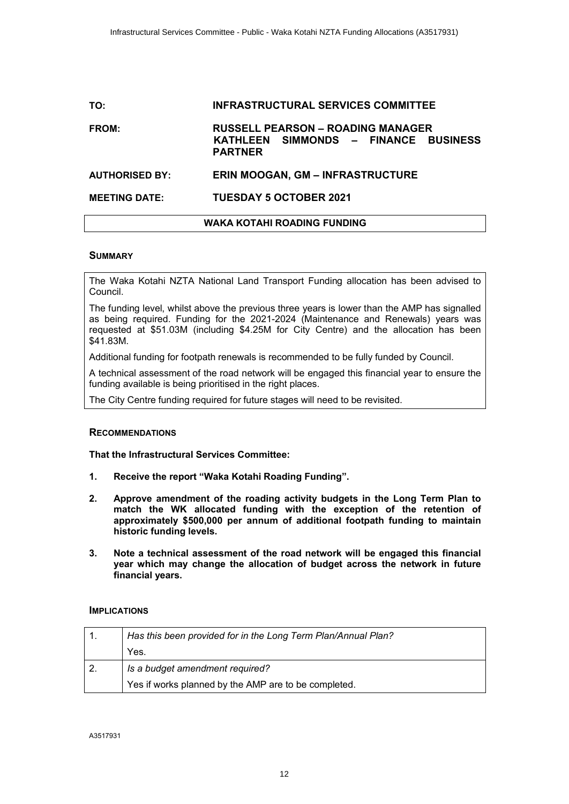# <span id="page-11-0"></span>**TO: INFRASTRUCTURAL SERVICES COMMITTEE FROM: RUSSELL PEARSON – ROADING MANAGER KATHLEEN SIMMONDS – FINANCE BUSINESS PARTNER AUTHORISED BY: ERIN MOOGAN, GM – INFRASTRUCTURE MEETING DATE: TUESDAY 5 OCTOBER 2021**

### **WAKA KOTAHI ROADING FUNDING**

### **SUMMARY**

The Waka Kotahi NZTA National Land Transport Funding allocation has been advised to Council.

The funding level, whilst above the previous three years is lower than the AMP has signalled as being required. Funding for the 2021-2024 (Maintenance and Renewals) years was requested at \$51.03M (including \$4.25M for City Centre) and the allocation has been \$41.83M.

Additional funding for footpath renewals is recommended to be fully funded by Council.

A technical assessment of the road network will be engaged this financial year to ensure the funding available is being prioritised in the right places.

The City Centre funding required for future stages will need to be revisited.

### **RECOMMENDATIONS**

**That the Infrastructural Services Committee:**

- **1. Receive the report "Waka Kotahi Roading Funding".**
- **2. Approve amendment of the roading activity budgets in the Long Term Plan to match the WK allocated funding with the exception of the retention of approximately \$500,000 per annum of additional footpath funding to maintain historic funding levels.**
- **3. Note a technical assessment of the road network will be engaged this financial year which may change the allocation of budget across the network in future financial years.**

#### **IMPLICATIONS**

| Has this been provided for in the Long Term Plan/Annual Plan? |  |
|---------------------------------------------------------------|--|
| Yes.                                                          |  |
| Is a budget amendment required?                               |  |
| Yes if works planned by the AMP are to be completed.          |  |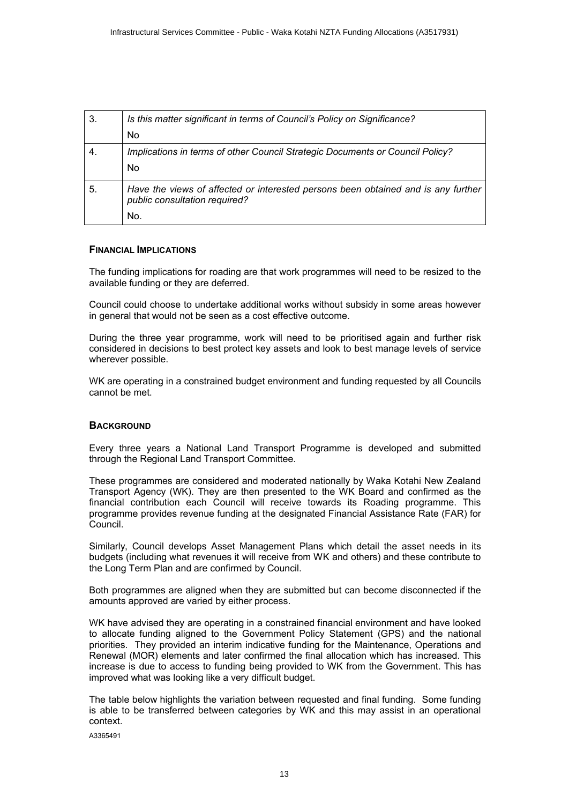| 3. | Is this matter significant in terms of Council's Policy on Significance?                                           |  |
|----|--------------------------------------------------------------------------------------------------------------------|--|
|    | No                                                                                                                 |  |
| 4. | Implications in terms of other Council Strategic Documents or Council Policy?                                      |  |
|    | No                                                                                                                 |  |
| 5. | Have the views of affected or interested persons been obtained and is any further<br>public consultation required? |  |
|    | No.                                                                                                                |  |

### **FINANCIAL IMPLICATIONS**

The funding implications for roading are that work programmes will need to be resized to the available funding or they are deferred.

Council could choose to undertake additional works without subsidy in some areas however in general that would not be seen as a cost effective outcome.

During the three year programme, work will need to be prioritised again and further risk considered in decisions to best protect key assets and look to best manage levels of service wherever possible.

WK are operating in a constrained budget environment and funding requested by all Councils cannot be met.

### **BACKGROUND**

Every three years a National Land Transport Programme is developed and submitted through the Regional Land Transport Committee.

These programmes are considered and moderated nationally by Waka Kotahi New Zealand Transport Agency (WK). They are then presented to the WK Board and confirmed as the financial contribution each Council will receive towards its Roading programme. This programme provides revenue funding at the designated Financial Assistance Rate (FAR) for Council.

Similarly, Council develops Asset Management Plans which detail the asset needs in its budgets (including what revenues it will receive from WK and others) and these contribute to the Long Term Plan and are confirmed by Council.

Both programmes are aligned when they are submitted but can become disconnected if the amounts approved are varied by either process.

WK have advised they are operating in a constrained financial environment and have looked to allocate funding aligned to the Government Policy Statement (GPS) and the national priorities. They provided an interim indicative funding for the Maintenance, Operations and Renewal (MOR) elements and later confirmed the final allocation which has increased. This increase is due to access to funding being provided to WK from the Government. This has improved what was looking like a very difficult budget.

The table below highlights the variation between requested and final funding. Some funding is able to be transferred between categories by WK and this may assist in an operational context.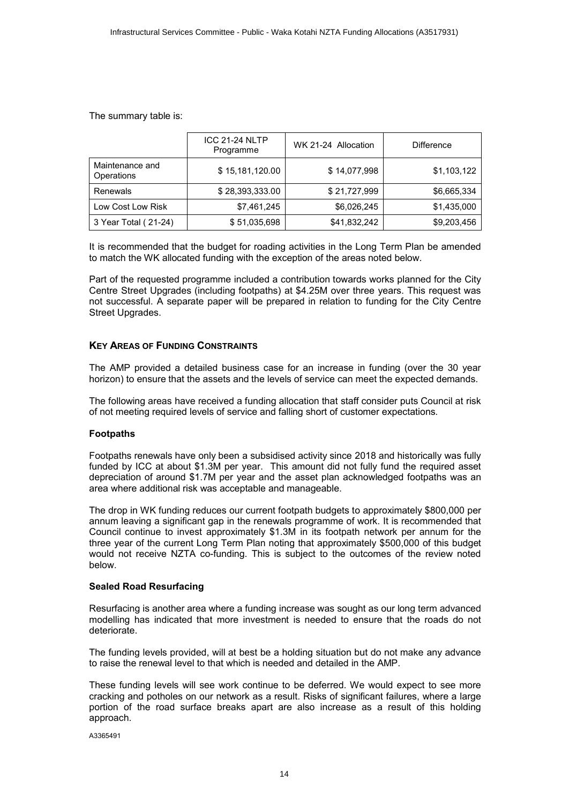The summary table is:

|                               | <b>ICC 21-24 NLTP</b><br>Programme | WK 21-24 Allocation | <b>Difference</b> |
|-------------------------------|------------------------------------|---------------------|-------------------|
| Maintenance and<br>Operations | \$15,181,120.00                    | \$14,077,998        | \$1,103,122       |
| Renewals                      | \$28,393,333.00                    | \$21,727,999        | \$6,665,334       |
| Low Cost Low Risk             | \$7,461,245                        | \$6,026,245         | \$1,435,000       |
| 3 Year Total (21-24)          | \$51,035,698                       | \$41,832,242        | \$9,203,456       |

It is recommended that the budget for roading activities in the Long Term Plan be amended to match the WK allocated funding with the exception of the areas noted below.

Part of the requested programme included a contribution towards works planned for the City Centre Street Upgrades (including footpaths) at \$4.25M over three years. This request was not successful. A separate paper will be prepared in relation to funding for the City Centre Street Upgrades.

### **KEY AREAS OF FUNDING CONSTRAINTS**

The AMP provided a detailed business case for an increase in funding (over the 30 year horizon) to ensure that the assets and the levels of service can meet the expected demands.

The following areas have received a funding allocation that staff consider puts Council at risk of not meeting required levels of service and falling short of customer expectations.

### **Footpaths**

Footpaths renewals have only been a subsidised activity since 2018 and historically was fully funded by ICC at about \$1.3M per year. This amount did not fully fund the required asset depreciation of around \$1.7M per year and the asset plan acknowledged footpaths was an area where additional risk was acceptable and manageable.

The drop in WK funding reduces our current footpath budgets to approximately \$800,000 per annum leaving a significant gap in the renewals programme of work. It is recommended that Council continue to invest approximately \$1.3M in its footpath network per annum for the three year of the current Long Term Plan noting that approximately \$500,000 of this budget would not receive NZTA co-funding. This is subject to the outcomes of the review noted below.

### **Sealed Road Resurfacing**

Resurfacing is another area where a funding increase was sought as our long term advanced modelling has indicated that more investment is needed to ensure that the roads do not deteriorate.

The funding levels provided, will at best be a holding situation but do not make any advance to raise the renewal level to that which is needed and detailed in the AMP.

These funding levels will see work continue to be deferred. We would expect to see more cracking and potholes on our network as a result. Risks of significant failures, where a large portion of the road surface breaks apart are also increase as a result of this holding approach.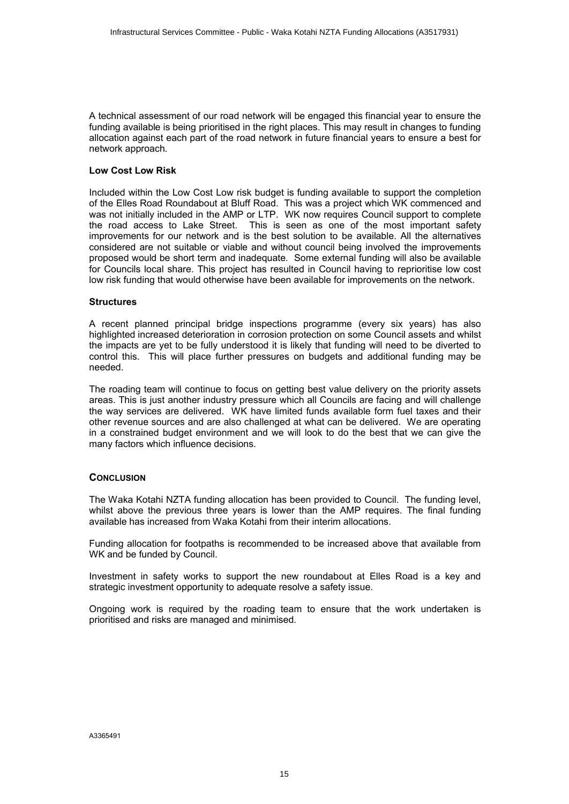A technical assessment of our road network will be engaged this financial year to ensure the funding available is being prioritised in the right places. This may result in changes to funding allocation against each part of the road network in future financial years to ensure a best for network approach.

### **Low Cost Low Risk**

Included within the Low Cost Low risk budget is funding available to support the completion of the Elles Road Roundabout at Bluff Road. This was a project which WK commenced and was not initially included in the AMP or LTP. WK now requires Council support to complete the road access to Lake Street. This is seen as one of the most important safety improvements for our network and is the best solution to be available. All the alternatives considered are not suitable or viable and without council being involved the improvements proposed would be short term and inadequate. Some external funding will also be available for Councils local share. This project has resulted in Council having to reprioritise low cost low risk funding that would otherwise have been available for improvements on the network.

#### **Structures**

A recent planned principal bridge inspections programme (every six years) has also highlighted increased deterioration in corrosion protection on some Council assets and whilst the impacts are yet to be fully understood it is likely that funding will need to be diverted to control this. This will place further pressures on budgets and additional funding may be needed.

The roading team will continue to focus on getting best value delivery on the priority assets areas. This is just another industry pressure which all Councils are facing and will challenge the way services are delivered. WK have limited funds available form fuel taxes and their other revenue sources and are also challenged at what can be delivered. We are operating in a constrained budget environment and we will look to do the best that we can give the many factors which influence decisions.

### **CONCLUSION**

The Waka Kotahi NZTA funding allocation has been provided to Council. The funding level, whilst above the previous three years is lower than the AMP requires. The final funding available has increased from Waka Kotahi from their interim allocations.

Funding allocation for footpaths is recommended to be increased above that available from WK and be funded by Council.

Investment in safety works to support the new roundabout at Elles Road is a key and strategic investment opportunity to adequate resolve a safety issue.

Ongoing work is required by the roading team to ensure that the work undertaken is prioritised and risks are managed and minimised.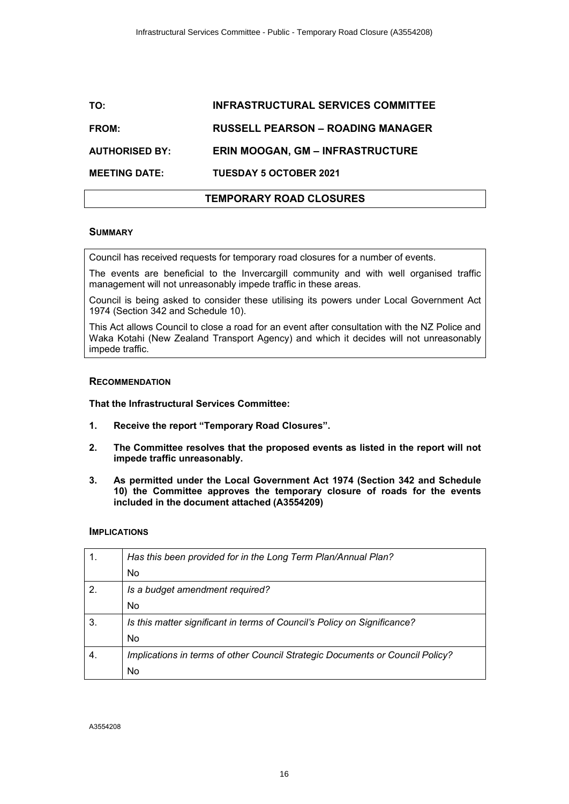# <span id="page-15-0"></span>**TO: INFRASTRUCTURAL SERVICES COMMITTEE FROM: RUSSELL PEARSON – ROADING MANAGER AUTHORISED BY: ERIN MOOGAN, GM – INFRASTRUCTURE**

**MEETING DATE: TUESDAY 5 OCTOBER 2021**

### **TEMPORARY ROAD CLOSURES**

### **SUMMARY**

Council has received requests for temporary road closures for a number of events.

The events are beneficial to the Invercargill community and with well organised traffic management will not unreasonably impede traffic in these areas.

Council is being asked to consider these utilising its powers under Local Government Act 1974 (Section 342 and Schedule 10).

This Act allows Council to close a road for an event after consultation with the NZ Police and Waka Kotahi (New Zealand Transport Agency) and which it decides will not unreasonably impede traffic.

### **RECOMMENDATION**

**That the Infrastructural Services Committee:**

- **1. Receive the report "Temporary Road Closures".**
- **2. The Committee resolves that the proposed events as listed in the report will not impede traffic unreasonably.**
- **3. As permitted under the Local Government Act 1974 (Section 342 and Schedule 10) the Committee approves the temporary closure of roads for the events included in the document attached (A3554209)**

### **IMPLICATIONS**

| 1.               | Has this been provided for in the Long Term Plan/Annual Plan?                 |  |
|------------------|-------------------------------------------------------------------------------|--|
|                  | No.                                                                           |  |
| $\overline{2}$ . | Is a budget amendment required?                                               |  |
|                  | No.                                                                           |  |
| 3.               | Is this matter significant in terms of Council's Policy on Significance?      |  |
|                  | <b>No</b>                                                                     |  |
| $\overline{4}$   | Implications in terms of other Council Strategic Documents or Council Policy? |  |
|                  | No                                                                            |  |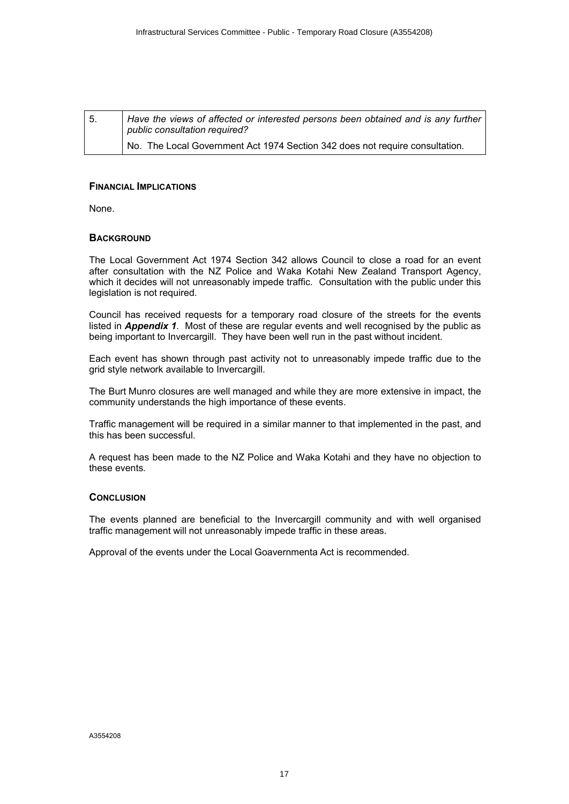| I 5. | Have the views of affected or interested persons been obtained and is any further<br>public consultation required? |
|------|--------------------------------------------------------------------------------------------------------------------|
|      | No. The Local Government Act 1974 Section 342 does not require consultation.                                       |

### **FINANCIAL IMPLICATIONS**

None.

### **BACKGROUND**

The Local Government Act 1974 Section 342 allows Council to close a road for an event after consultation with the NZ Police and Waka Kotahi New Zealand Transport Agency, which it decides will not unreasonably impede traffic. Consultation with the public under this legislation is not required.

Council has received requests for a temporary road closure of the streets for the events listed in *Appendix 1*. Most of these are regular events and well recognised by the public as being important to Invercargill. They have been well run in the past without incident.

Each event has shown through past activity not to unreasonably impede traffic due to the grid style network available to Invercargill.

The Burt Munro closures are well managed and while they are more extensive in impact, the community understands the high importance of these events.

Traffic management will be required in a similar manner to that implemented in the past, and this has been successful.

A request has been made to the NZ Police and Waka Kotahi and they have no objection to these events.

### **CONCLUSION**

The events planned are beneficial to the Invercargill community and with well organised traffic management will not unreasonably impede traffic in these areas.

Approval of the events under the Local Goavernmenta Act is recommended.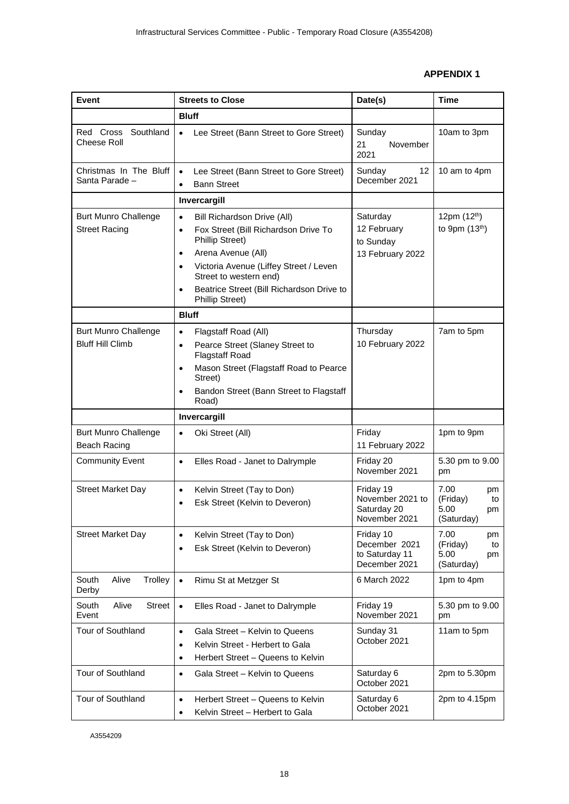### **APPENDIX 1**

<span id="page-17-0"></span>

| Event                                                  | <b>Streets to Close</b>                                                                                                                                                                                                                                                                                                         | Date(s)                                                       | <b>Time</b>                                              |  |
|--------------------------------------------------------|---------------------------------------------------------------------------------------------------------------------------------------------------------------------------------------------------------------------------------------------------------------------------------------------------------------------------------|---------------------------------------------------------------|----------------------------------------------------------|--|
|                                                        | <b>Bluff</b>                                                                                                                                                                                                                                                                                                                    |                                                               |                                                          |  |
| Red Cross Southland<br><b>Cheese Roll</b>              | Lee Street (Bann Street to Gore Street)<br>$\bullet$                                                                                                                                                                                                                                                                            | Sunday<br>21<br>November<br>2021                              | 10am to 3pm                                              |  |
| Christmas In The Bluff<br>Santa Parade -               | Lee Street (Bann Street to Gore Street)<br>$\bullet$<br><b>Bann Street</b><br>$\bullet$                                                                                                                                                                                                                                         | Sunday<br>12<br>December 2021                                 | 10 am to 4pm                                             |  |
|                                                        | Invercargill                                                                                                                                                                                                                                                                                                                    |                                                               |                                                          |  |
| <b>Burt Munro Challenge</b><br><b>Street Racing</b>    | Bill Richardson Drive (All)<br>$\bullet$<br>Fox Street (Bill Richardson Drive To<br>$\bullet$<br><b>Phillip Street)</b><br>Arena Avenue (All)<br>$\bullet$<br>Victoria Avenue (Liffey Street / Leven<br>$\bullet$<br>Street to western end)<br>Beatrice Street (Bill Richardson Drive to<br>$\bullet$<br><b>Phillip Street)</b> | Saturday<br>12 February<br>to Sunday<br>13 February 2022      | 12pm (12 <sup>th</sup> )<br>to 9pm (13th)                |  |
|                                                        | <b>Bluff</b>                                                                                                                                                                                                                                                                                                                    |                                                               |                                                          |  |
| <b>Burt Munro Challenge</b><br><b>Bluff Hill Climb</b> | Flagstaff Road (All)<br>$\bullet$<br>Pearce Street (Slaney Street to<br>$\bullet$<br><b>Flagstaff Road</b><br>Mason Street (Flagstaff Road to Pearce<br>$\bullet$<br>Street)<br>Bandon Street (Bann Street to Flagstaff<br>$\bullet$                                                                                            | Thursday<br>10 February 2022                                  | 7am to 5pm                                               |  |
|                                                        | Road)                                                                                                                                                                                                                                                                                                                           |                                                               |                                                          |  |
|                                                        | Invercargill                                                                                                                                                                                                                                                                                                                    |                                                               |                                                          |  |
| <b>Burt Munro Challenge</b><br><b>Beach Racing</b>     | Oki Street (All)<br>$\bullet$                                                                                                                                                                                                                                                                                                   | Friday<br>11 February 2022                                    | 1pm to 9pm                                               |  |
| <b>Community Event</b>                                 | Elles Road - Janet to Dalrymple<br>$\bullet$                                                                                                                                                                                                                                                                                    | Friday 20<br>November 2021                                    | 5.30 pm to 9.00<br>pm                                    |  |
| <b>Street Market Day</b>                               | Kelvin Street (Tay to Don)<br>$\bullet$<br>Esk Street (Kelvin to Deveron)<br>$\bullet$                                                                                                                                                                                                                                          | Friday 19<br>November 2021 to<br>Saturday 20<br>November 2021 | 7.00<br>pm<br>(Friday)<br>to<br>5.00<br>pm<br>(Saturday) |  |
| <b>Street Market Day</b>                               | Kelvin Street (Tay to Don)<br>$\bullet$<br>Esk Street (Kelvin to Deveron)<br>$\bullet$                                                                                                                                                                                                                                          | Friday 10<br>December 2021<br>to Saturday 11<br>December 2021 | 7.00<br>pm<br>(Friday)<br>to<br>5.00<br>pm<br>(Saturday) |  |
| South<br>Alive<br>Trolley<br>Derby                     | $\bullet$<br>Rimu St at Metzger St                                                                                                                                                                                                                                                                                              | 6 March 2022                                                  | 1pm to 4pm                                               |  |
| South<br>Alive<br>Street<br>Event                      | Elles Road - Janet to Dalrymple<br>$\bullet$                                                                                                                                                                                                                                                                                    | Friday 19<br>November 2021                                    | 5.30 pm to 9.00<br>pm                                    |  |
| Tour of Southland                                      | Gala Street - Kelvin to Queens<br>$\bullet$<br>Kelvin Street - Herbert to Gala<br>$\bullet$<br>Herbert Street - Queens to Kelvin<br>$\bullet$                                                                                                                                                                                   | Sunday 31<br>October 2021                                     | 11am to 5pm                                              |  |
| Tour of Southland                                      | Gala Street - Kelvin to Queens<br>$\bullet$                                                                                                                                                                                                                                                                                     | Saturday 6<br>October 2021                                    | 2pm to 5.30pm                                            |  |
| Tour of Southland                                      | Herbert Street - Queens to Kelvin<br>$\bullet$<br>Kelvin Street - Herbert to Gala<br>$\bullet$                                                                                                                                                                                                                                  | Saturday 6<br>October 2021                                    | 2pm to 4.15pm                                            |  |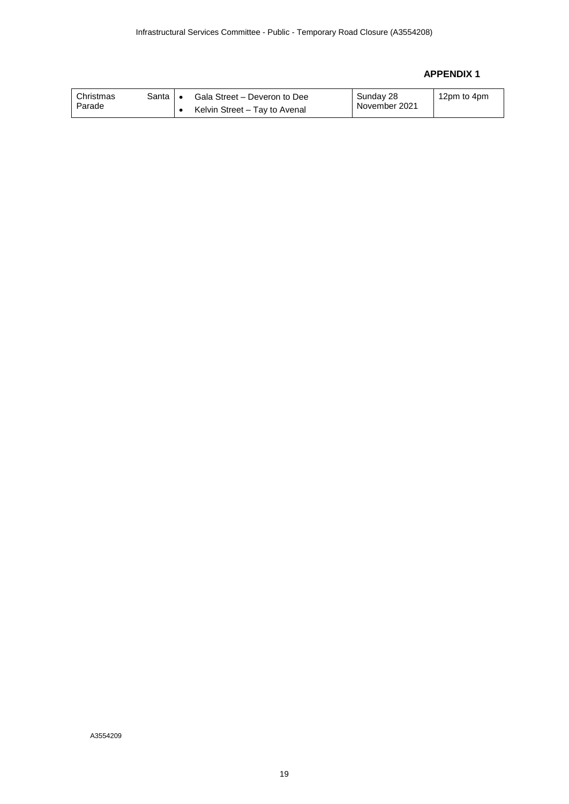### **APPENDIX 1**

| Christmas<br>Parade | Santa I ∙ | Gala Street – Deveron to Dee  | Sunday 28<br>November 2021 | 12pm to 4pm |
|---------------------|-----------|-------------------------------|----------------------------|-------------|
|                     |           | Kelvin Street - Tay to Avenal |                            |             |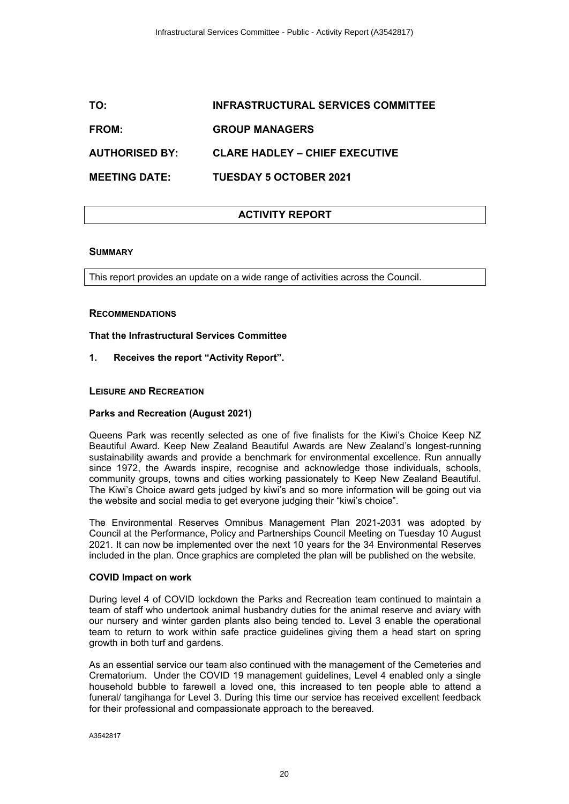# <span id="page-19-0"></span>**TO: INFRASTRUCTURAL SERVICES COMMITTEE FROM: GROUP MANAGERS AUTHORISED BY: CLARE HADLEY – CHIEF EXECUTIVE MEETING DATE: TUESDAY 5 OCTOBER 2021**

### **ACTIVITY REPORT**

### **SUMMARY**

This report provides an update on a wide range of activities across the Council.

### **RECOMMENDATIONS**

**That the Infrastructural Services Committee** 

**1. Receives the report "Activity Report".**

### **LEISURE AND RECREATION**

### **Parks and Recreation (August 2021)**

Queens Park was recently selected as one of five finalists for the Kiwi's Choice Keep NZ Beautiful Award. Keep New Zealand Beautiful Awards are New Zealand's longest-running sustainability awards and provide a benchmark for environmental excellence. Run annually since 1972, the Awards inspire, recognise and acknowledge those individuals, schools, community groups, towns and cities working passionately to Keep New Zealand Beautiful. The Kiwi's Choice award gets judged by kiwi's and so more information will be going out via the website and social media to get everyone judging their "kiwi's choice".

The Environmental Reserves Omnibus Management Plan 2021-2031 was adopted by Council at the Performance, Policy and Partnerships Council Meeting on Tuesday 10 August 2021. It can now be implemented over the next 10 years for the 34 Environmental Reserves included in the plan. Once graphics are completed the plan will be published on the website.

### **COVID Impact on work**

During level 4 of COVID lockdown the Parks and Recreation team continued to maintain a team of staff who undertook animal husbandry duties for the animal reserve and aviary with our nursery and winter garden plants also being tended to. Level 3 enable the operational team to return to work within safe practice guidelines giving them a head start on spring growth in both turf and gardens.

As an essential service our team also continued with the management of the Cemeteries and Crematorium. Under the COVID 19 management guidelines, Level 4 enabled only a single household bubble to farewell a loved one, this increased to ten people able to attend a funeral/ tangihanga for Level 3. During this time our service has received excellent feedback for their professional and compassionate approach to the bereaved.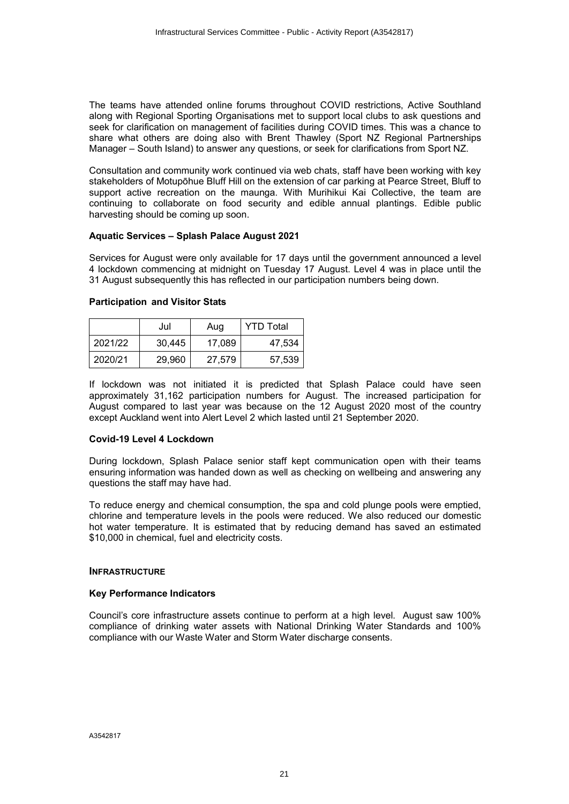The teams have attended online forums throughout COVID restrictions, Active Southland along with Regional Sporting Organisations met to support local clubs to ask questions and seek for clarification on management of facilities during COVID times. This was a chance to share what others are doing also with Brent Thawley (Sport NZ Regional Partnerships Manager – South Island) to answer any questions, or seek for clarifications from Sport NZ.

Consultation and community work continued via web chats, staff have been working with key stakeholders of Motupōhue Bluff Hill on the extension of car parking at Pearce Street, Bluff to support active recreation on the maunga. With Murihikui Kai Collective, the team are continuing to collaborate on food security and edible annual plantings. Edible public harvesting should be coming up soon.

### **Aquatic Services – Splash Palace August 2021**

Services for August were only available for 17 days until the government announced a level 4 lockdown commencing at midnight on Tuesday 17 August. Level 4 was in place until the 31 August subsequently this has reflected in our participation numbers being down.

### **Participation and Visitor Stats**

|         | Jul    | Aug    | <b>YTD Total</b> |
|---------|--------|--------|------------------|
| 2021/22 | 30.445 | 17.089 | 47.534           |
| 2020/21 | 29.960 | 27,579 | 57,539           |

If lockdown was not initiated it is predicted that Splash Palace could have seen approximately 31,162 participation numbers for August. The increased participation for August compared to last year was because on the 12 August 2020 most of the country except Auckland went into Alert Level 2 which lasted until 21 September 2020.

#### **Covid-19 Level 4 Lockdown**

During lockdown, Splash Palace senior staff kept communication open with their teams ensuring information was handed down as well as checking on wellbeing and answering any questions the staff may have had.

To reduce energy and chemical consumption, the spa and cold plunge pools were emptied, chlorine and temperature levels in the pools were reduced. We also reduced our domestic hot water temperature. It is estimated that by reducing demand has saved an estimated \$10,000 in chemical, fuel and electricity costs.

### **INFRASTRUCTURE**

### **Key Performance Indicators**

Council's core infrastructure assets continue to perform at a high level. August saw 100% compliance of drinking water assets with National Drinking Water Standards and 100% compliance with our Waste Water and Storm Water discharge consents.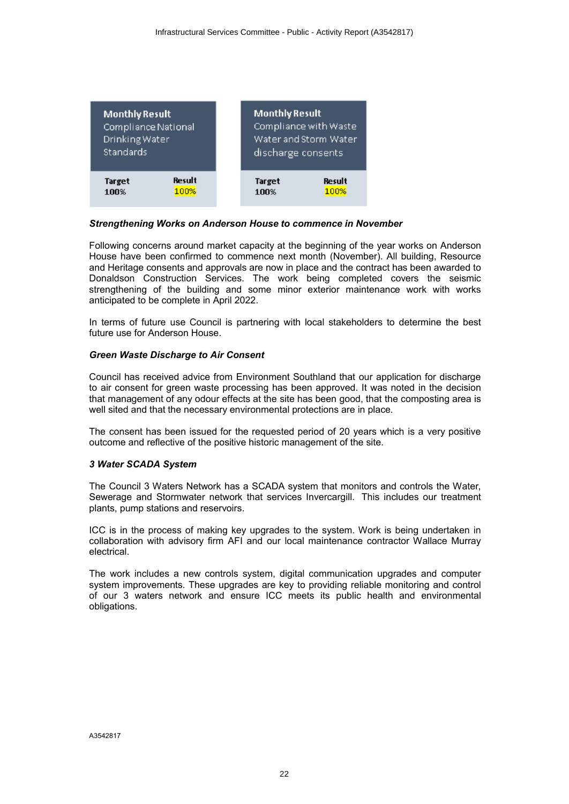| <b>Monthly Result</b><br>Compliance National<br>Drinking Water<br>Standards |               | <b>Monthly Result</b><br>Compliance with Waste<br>Water and Storm Water<br>discharge consents |               |
|-----------------------------------------------------------------------------|---------------|-----------------------------------------------------------------------------------------------|---------------|
| <b>Target</b>                                                               | <b>Result</b> | <b>Target</b>                                                                                 | <b>Result</b> |
| 100%                                                                        | 100%          | 100%                                                                                          | 100%          |

### *Strengthening Works on Anderson House to commence in November*

Following concerns around market capacity at the beginning of the year works on Anderson House have been confirmed to commence next month (November). All building, Resource and Heritage consents and approvals are now in place and the contract has been awarded to Donaldson Construction Services. The work being completed covers the seismic strengthening of the building and some minor exterior maintenance work with works anticipated to be complete in April 2022.

In terms of future use Council is partnering with local stakeholders to determine the best future use for Anderson House.

### *Green Waste Discharge to Air Consent*

Council has received advice from Environment Southland that our application for discharge to air consent for green waste processing has been approved. It was noted in the decision that management of any odour effects at the site has been good, that the composting area is well sited and that the necessary environmental protections are in place.

The consent has been issued for the requested period of 20 years which is a very positive outcome and reflective of the positive historic management of the site.

### *3 Water SCADA System*

The Council 3 Waters Network has a SCADA system that monitors and controls the Water, Sewerage and Stormwater network that services Invercargill. This includes our treatment plants, pump stations and reservoirs.

ICC is in the process of making key upgrades to the system. Work is being undertaken in collaboration with advisory firm AFI and our local maintenance contractor Wallace Murray electrical.

The work includes a new controls system, digital communication upgrades and computer system improvements. These upgrades are key to providing reliable monitoring and control of our 3 waters network and ensure ICC meets its public health and environmental obligations.